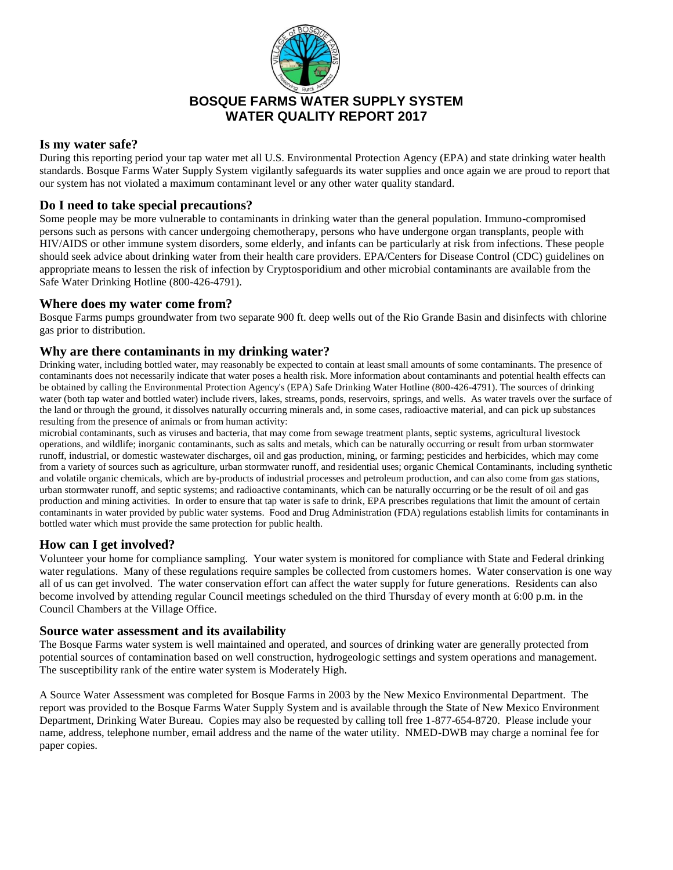

# **BOSQUE FARMS WATER SUPPLY SYSTEM WATER QUALITY REPORT 2017**

### **Is my water safe?**

During this reporting period your tap water met all U.S. Environmental Protection Agency (EPA) and state drinking water health standards. Bosque Farms Water Supply System vigilantly safeguards its water supplies and once again we are proud to report that our system has not violated a maximum contaminant level or any other water quality standard.

# **Do I need to take special precautions?**

Some people may be more vulnerable to contaminants in drinking water than the general population. Immuno-compromised persons such as persons with cancer undergoing chemotherapy, persons who have undergone organ transplants, people with HIV/AIDS or other immune system disorders, some elderly, and infants can be particularly at risk from infections. These people should seek advice about drinking water from their health care providers. EPA/Centers for Disease Control (CDC) guidelines on appropriate means to lessen the risk of infection by Cryptosporidium and other microbial contaminants are available from the Safe Water Drinking Hotline (800-426-4791).

### **Where does my water come from?**

Bosque Farms pumps groundwater from two separate 900 ft. deep wells out of the Rio Grande Basin and disinfects with chlorine gas prior to distribution.

### **Why are there contaminants in my drinking water?**

Drinking water, including bottled water, may reasonably be expected to contain at least small amounts of some contaminants. The presence of contaminants does not necessarily indicate that water poses a health risk. More information about contaminants and potential health effects can be obtained by calling the Environmental Protection Agency's (EPA) Safe Drinking Water Hotline (800-426-4791). The sources of drinking water (both tap water and bottled water) include rivers, lakes, streams, ponds, reservoirs, springs, and wells. As water travels over the surface of the land or through the ground, it dissolves naturally occurring minerals and, in some cases, radioactive material, and can pick up substances resulting from the presence of animals or from human activity:

microbial contaminants, such as viruses and bacteria, that may come from sewage treatment plants, septic systems, agricultural livestock operations, and wildlife; inorganic contaminants, such as salts and metals, which can be naturally occurring or result from urban stormwater runoff, industrial, or domestic wastewater discharges, oil and gas production, mining, or farming; pesticides and herbicides, which may come from a variety of sources such as agriculture, urban stormwater runoff, and residential uses; organic Chemical Contaminants, including synthetic and volatile organic chemicals, which are by-products of industrial processes and petroleum production, and can also come from gas stations, urban stormwater runoff, and septic systems; and radioactive contaminants, which can be naturally occurring or be the result of oil and gas production and mining activities. In order to ensure that tap water is safe to drink, EPA prescribes regulations that limit the amount of certain contaminants in water provided by public water systems. Food and Drug Administration (FDA) regulations establish limits for contaminants in bottled water which must provide the same protection for public health.

## **How can I get involved?**

Volunteer your home for compliance sampling. Your water system is monitored for compliance with State and Federal drinking water regulations. Many of these regulations require samples be collected from customers homes. Water conservation is one way all of us can get involved. The water conservation effort can affect the water supply for future generations. Residents can also become involved by attending regular Council meetings scheduled on the third Thursday of every month at 6:00 p.m. in the Council Chambers at the Village Office.

### **Source water assessment and its availability**

The Bosque Farms water system is well maintained and operated, and sources of drinking water are generally protected from potential sources of contamination based on well construction, hydrogeologic settings and system operations and management. The susceptibility rank of the entire water system is Moderately High.

A Source Water Assessment was completed for Bosque Farms in 2003 by the New Mexico Environmental Department. The report was provided to the Bosque Farms Water Supply System and is available through the State of New Mexico Environment Department, Drinking Water Bureau. Copies may also be requested by calling toll free 1-877-654-8720. Please include your name, address, telephone number, email address and the name of the water utility. NMED-DWB may charge a nominal fee for paper copies.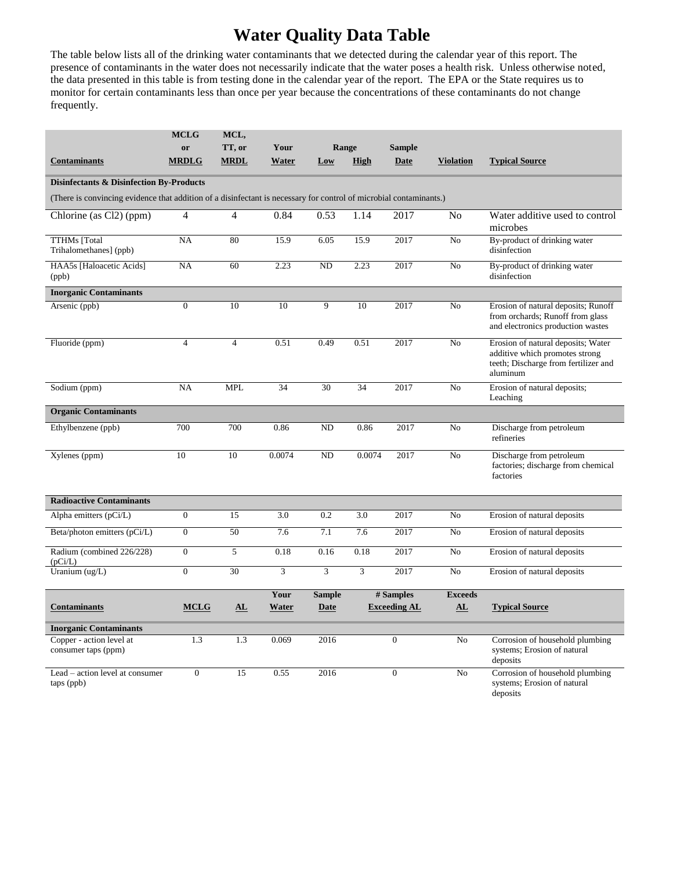# **Water Quality Data Table**

The table below lists all of the drinking water contaminants that we detected during the calendar year of this report. The presence of contaminants in the water does not necessarily indicate that the water poses a health risk. Unless otherwise noted, the data presented in this table is from testing done in the calendar year of the report. The EPA or the State requires us to monitor for certain contaminants less than once per year because the concentrations of these contaminants do not change frequently.

|                                                                                                                    | <b>MCLG</b>    | MCL,           |              |                 |             |                     |                  |                                                                                                                          |
|--------------------------------------------------------------------------------------------------------------------|----------------|----------------|--------------|-----------------|-------------|---------------------|------------------|--------------------------------------------------------------------------------------------------------------------------|
|                                                                                                                    | or             | TT, or         | Your         | Range           |             | <b>Sample</b>       |                  |                                                                                                                          |
| <b>Contaminants</b>                                                                                                | <b>MRDLG</b>   | <b>MRDL</b>    | <b>Water</b> | <b>Low</b>      | <b>High</b> | <b>Date</b>         | <b>Violation</b> | <b>Typical Source</b>                                                                                                    |
| <b>Disinfectants &amp; Disinfection By-Products</b>                                                                |                |                |              |                 |             |                     |                  |                                                                                                                          |
| (There is convincing evidence that addition of a disinfectant is necessary for control of microbial contaminants.) |                |                |              |                 |             |                     |                  |                                                                                                                          |
| Chlorine (as Cl2) (ppm)                                                                                            | 4              | 4              | 0.84         | 0.53            | 1.14        | 2017                | N <sub>0</sub>   | Water additive used to control<br>microbes                                                                               |
| TTHMs [Total<br>Trihalomethanes] (ppb)                                                                             | NA             | 80             | 15.9         | 6.05            | 15.9        | 2017                | N <sub>o</sub>   | By-product of drinking water<br>disinfection                                                                             |
| HAA5s [Haloacetic Acids]<br>(ppb)                                                                                  | NA             | 60             | 2.23         | ND              | 2.23        | 2017                | N <sub>o</sub>   | By-product of drinking water<br>disinfection                                                                             |
| <b>Inorganic Contaminants</b>                                                                                      |                |                |              |                 |             |                     |                  |                                                                                                                          |
| Arsenic (ppb)                                                                                                      | $\theta$       | 10             | 10           | 9               | 10          | 2017                | N <sub>o</sub>   | Erosion of natural deposits; Runoff<br>from orchards; Runoff from glass<br>and electronics production wastes             |
| Fluoride (ppm)                                                                                                     | $\overline{4}$ | $\overline{4}$ | 0.51         | 0.49            | 0.51        | 2017                | N <sub>0</sub>   | Erosion of natural deposits; Water<br>additive which promotes strong<br>teeth; Discharge from fertilizer and<br>aluminum |
| Sodium (ppm)                                                                                                       | <b>NA</b>      | <b>MPL</b>     | 34           | 30              | 34          | 2017                | No               | Erosion of natural deposits;<br>Leaching                                                                                 |
| <b>Organic Contaminants</b>                                                                                        |                |                |              |                 |             |                     |                  |                                                                                                                          |
| Ethylbenzene (ppb)                                                                                                 | 700            | 700            | 0.86         | N <sub>D</sub>  | 0.86        | 2017                | No               | Discharge from petroleum<br>refineries                                                                                   |
| Xylenes (ppm)                                                                                                      | 10             | 10             | 0.0074       | $\overline{ND}$ | 0.0074      | 2017                | $\overline{No}$  | Discharge from petroleum<br>factories; discharge from chemical<br>factories                                              |
| <b>Radioactive Contaminants</b>                                                                                    |                |                |              |                 |             |                     |                  |                                                                                                                          |
| Alpha emitters (pCi/L)                                                                                             | $\overline{0}$ | 15             | 3.0          | 0.2             | 3.0         | 2017                | N <sub>o</sub>   | Erosion of natural deposits                                                                                              |
| Beta/photon emitters (pCi/L)                                                                                       | $\mathbf{0}$   | 50             | 7.6          | 7.1             | 7.6         | 2017                | No               | Erosion of natural deposits                                                                                              |
| Radium (combined 226/228)<br>(pCi/L)                                                                               | $\overline{0}$ | 5              | 0.18         | 0.16            | 0.18        | 2017                | N <sub>o</sub>   | Erosion of natural deposits                                                                                              |
| Uranium (ug/L)                                                                                                     | $\overline{0}$ | 30             | 3            | 3               | 3           | 2017                | N <sub>o</sub>   | Erosion of natural deposits                                                                                              |
|                                                                                                                    |                |                | Your         | <b>Sample</b>   |             | # Samples           | <b>Exceeds</b>   |                                                                                                                          |
| <b>Contaminants</b>                                                                                                | <b>MCLG</b>    | AL             | Water        | <b>Date</b>     |             | <b>Exceeding AL</b> | AL               | <b>Typical Source</b>                                                                                                    |
| <b>Inorganic Contaminants</b>                                                                                      |                |                |              |                 |             |                     |                  |                                                                                                                          |
| Copper - action level at<br>consumer taps (ppm)                                                                    | 1.3            | 1.3            | 0.069        | 2016            |             | $\overline{0}$      | No               | Corrosion of household plumbing<br>systems; Erosion of natural<br>deposits                                               |
| Lead – action level at consumer<br>taps (ppb)                                                                      | $\overline{0}$ | 15             | 0.55         | 2016            |             | $\overline{0}$      | N <sub>o</sub>   | Corrosion of household plumbing<br>systems; Erosion of natural<br>deposits                                               |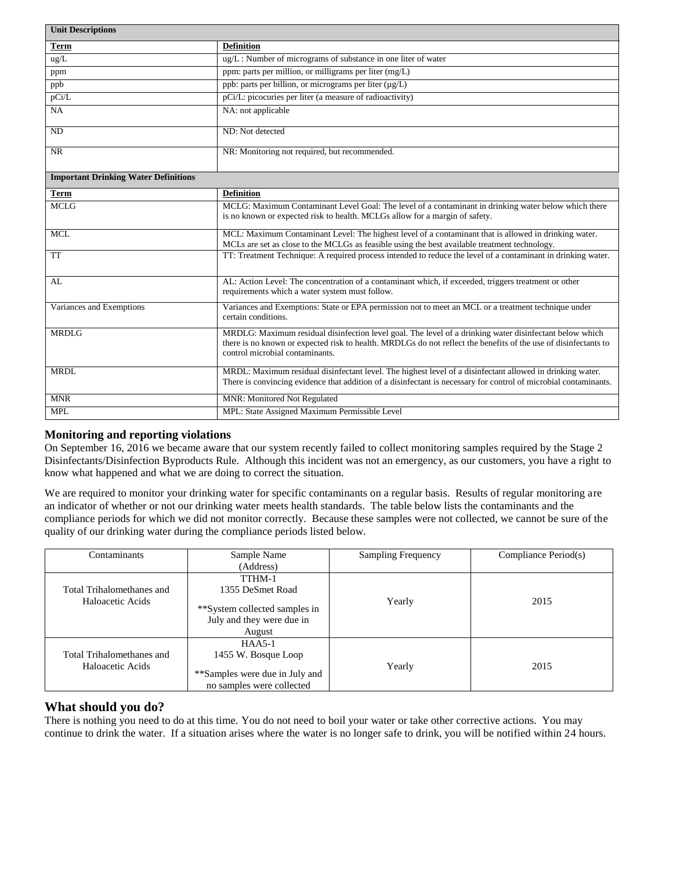| <b>Unit Descriptions</b>                    |                                                                                                                                                                                                                                                               |  |  |  |  |  |
|---------------------------------------------|---------------------------------------------------------------------------------------------------------------------------------------------------------------------------------------------------------------------------------------------------------------|--|--|--|--|--|
| Term                                        | <b>Definition</b>                                                                                                                                                                                                                                             |  |  |  |  |  |
| ug/L                                        | ug/L: Number of micrograms of substance in one liter of water                                                                                                                                                                                                 |  |  |  |  |  |
| ppm                                         | ppm: parts per million, or milligrams per liter (mg/L)                                                                                                                                                                                                        |  |  |  |  |  |
| ppb                                         | ppb: parts per billion, or micrograms per liter $(\mu g/L)$                                                                                                                                                                                                   |  |  |  |  |  |
| pCi/L                                       | pCi/L: picocuries per liter (a measure of radioactivity)                                                                                                                                                                                                      |  |  |  |  |  |
| NA                                          | NA: not applicable                                                                                                                                                                                                                                            |  |  |  |  |  |
| <b>ND</b>                                   | ND: Not detected                                                                                                                                                                                                                                              |  |  |  |  |  |
| <b>NR</b>                                   | NR: Monitoring not required, but recommended.                                                                                                                                                                                                                 |  |  |  |  |  |
| <b>Important Drinking Water Definitions</b> |                                                                                                                                                                                                                                                               |  |  |  |  |  |
|                                             |                                                                                                                                                                                                                                                               |  |  |  |  |  |
| <b>Term</b>                                 | <b>Definition</b>                                                                                                                                                                                                                                             |  |  |  |  |  |
| <b>MCLG</b>                                 | MCLG: Maximum Contaminant Level Goal: The level of a contaminant in drinking water below which there<br>is no known or expected risk to health. MCLGs allow for a margin of safety.                                                                           |  |  |  |  |  |
| <b>MCL</b>                                  | MCL: Maximum Contaminant Level: The highest level of a contaminant that is allowed in drinking water.<br>MCLs are set as close to the MCLGs as feasible using the best available treatment technology.                                                        |  |  |  |  |  |
| <b>TT</b>                                   | TT: Treatment Technique: A required process intended to reduce the level of a contaminant in drinking water.                                                                                                                                                  |  |  |  |  |  |
| AL                                          | AL: Action Level: The concentration of a contaminant which, if exceeded, triggers treatment or other<br>requirements which a water system must follow.                                                                                                        |  |  |  |  |  |
| Variances and Exemptions                    | Variances and Exemptions: State or EPA permission not to meet an MCL or a treatment technique under<br>certain conditions.                                                                                                                                    |  |  |  |  |  |
| <b>MRDLG</b>                                | MRDLG: Maximum residual disinfection level goal. The level of a drinking water disinfectant below which<br>there is no known or expected risk to health. MRDLGs do not reflect the benefits of the use of disinfectants to<br>control microbial contaminants. |  |  |  |  |  |
| <b>MRDL</b>                                 | MRDL: Maximum residual disinfectant level. The highest level of a disinfectant allowed in drinking water.<br>There is convincing evidence that addition of a disinfectant is necessary for control of microbial contaminants.                                 |  |  |  |  |  |
| <b>MNR</b>                                  | MNR: Monitored Not Regulated                                                                                                                                                                                                                                  |  |  |  |  |  |
| <b>MPL</b>                                  | MPL: State Assigned Maximum Permissible Level                                                                                                                                                                                                                 |  |  |  |  |  |

### **Monitoring and reporting violations**

On September 16, 2016 we became aware that our system recently failed to collect monitoring samples required by the Stage 2 Disinfectants/Disinfection Byproducts Rule. Although this incident was not an emergency, as our customers, you have a right to know what happened and what we are doing to correct the situation.

We are required to monitor your drinking water for specific contaminants on a regular basis. Results of regular monitoring are an indicator of whether or not our drinking water meets health standards. The table below lists the contaminants and the compliance periods for which we did not monitor correctly. Because these samples were not collected, we cannot be sure of the quality of our drinking water during the compliance periods listed below.

| Contaminants                                         | Sample Name                                                                                    | <b>Sampling Frequency</b> | Compliance Period(s) |  |
|------------------------------------------------------|------------------------------------------------------------------------------------------------|---------------------------|----------------------|--|
|                                                      | (Address)                                                                                      |                           |                      |  |
|                                                      | TTHM-1                                                                                         |                           |                      |  |
| <b>Total Trihalomethanes and</b>                     | 1355 DeSmet Road                                                                               |                           |                      |  |
| Haloacetic Acids                                     | **System collected samples in<br>July and they were due in<br>August                           | Yearly                    | 2015                 |  |
| <b>Total Trihalomethanes and</b><br>Haloacetic Acids | $HAA5-1$<br>1455 W. Bosque Loop<br>**Samples were due in July and<br>no samples were collected | Yearly                    | 2015                 |  |

## **What should you do?**

There is nothing you need to do at this time. You do not need to boil your water or take other corrective actions. You may continue to drink the water. If a situation arises where the water is no longer safe to drink, you will be notified within 24 hours.